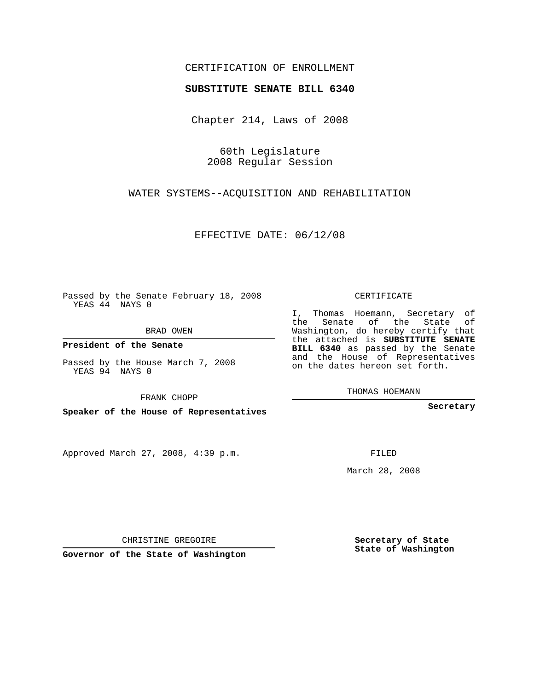## CERTIFICATION OF ENROLLMENT

### **SUBSTITUTE SENATE BILL 6340**

Chapter 214, Laws of 2008

60th Legislature 2008 Regular Session

WATER SYSTEMS--ACQUISITION AND REHABILITATION

EFFECTIVE DATE: 06/12/08

Passed by the Senate February 18, 2008 YEAS 44 NAYS 0

BRAD OWEN

**President of the Senate**

Passed by the House March 7, 2008 YEAS 94 NAYS 0

FRANK CHOPP

**Speaker of the House of Representatives**

Approved March 27, 2008, 4:39 p.m.

CERTIFICATE

I, Thomas Hoemann, Secretary of the Senate of the State of Washington, do hereby certify that the attached is **SUBSTITUTE SENATE BILL 6340** as passed by the Senate and the House of Representatives on the dates hereon set forth.

THOMAS HOEMANN

**Secretary**

FILED

March 28, 2008

**Secretary of State State of Washington**

CHRISTINE GREGOIRE

**Governor of the State of Washington**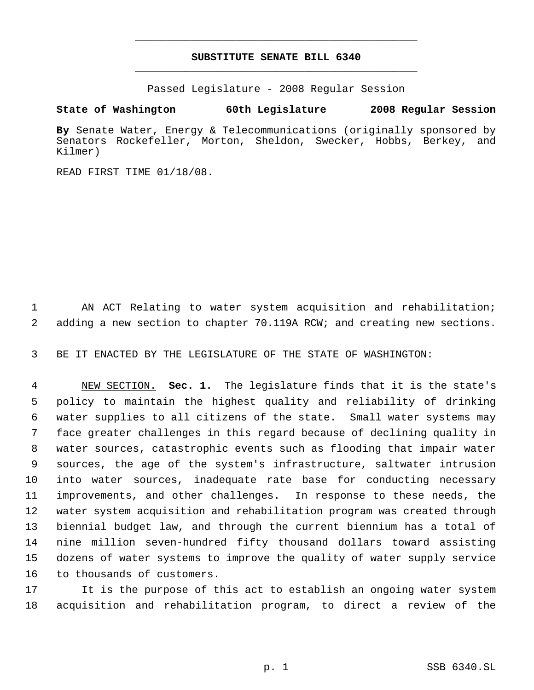# **SUBSTITUTE SENATE BILL 6340** \_\_\_\_\_\_\_\_\_\_\_\_\_\_\_\_\_\_\_\_\_\_\_\_\_\_\_\_\_\_\_\_\_\_\_\_\_\_\_\_\_\_\_\_\_

\_\_\_\_\_\_\_\_\_\_\_\_\_\_\_\_\_\_\_\_\_\_\_\_\_\_\_\_\_\_\_\_\_\_\_\_\_\_\_\_\_\_\_\_\_

Passed Legislature - 2008 Regular Session

### **State of Washington 60th Legislature 2008 Regular Session**

**By** Senate Water, Energy & Telecommunications (originally sponsored by Senators Rockefeller, Morton, Sheldon, Swecker, Hobbs, Berkey, and Kilmer)

READ FIRST TIME 01/18/08.

 AN ACT Relating to water system acquisition and rehabilitation; adding a new section to chapter 70.119A RCW; and creating new sections.

BE IT ENACTED BY THE LEGISLATURE OF THE STATE OF WASHINGTON:

 NEW SECTION. **Sec. 1.** The legislature finds that it is the state's policy to maintain the highest quality and reliability of drinking water supplies to all citizens of the state. Small water systems may face greater challenges in this regard because of declining quality in water sources, catastrophic events such as flooding that impair water sources, the age of the system's infrastructure, saltwater intrusion into water sources, inadequate rate base for conducting necessary improvements, and other challenges. In response to these needs, the water system acquisition and rehabilitation program was created through biennial budget law, and through the current biennium has a total of nine million seven-hundred fifty thousand dollars toward assisting dozens of water systems to improve the quality of water supply service to thousands of customers.

 It is the purpose of this act to establish an ongoing water system acquisition and rehabilitation program, to direct a review of the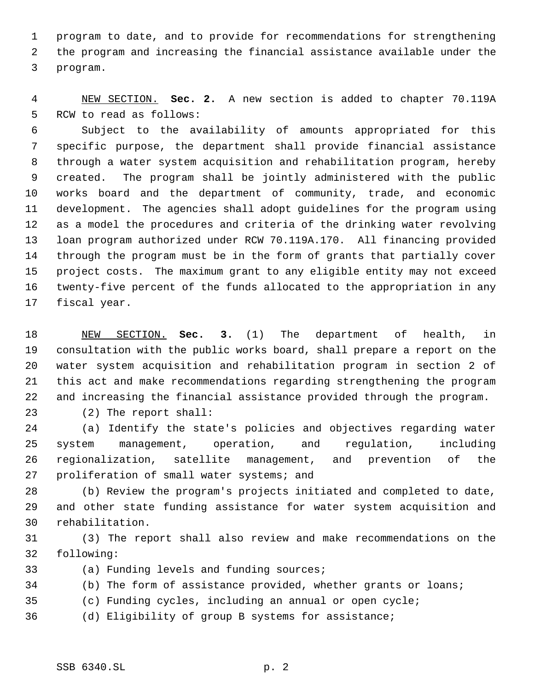program to date, and to provide for recommendations for strengthening the program and increasing the financial assistance available under the program.

 NEW SECTION. **Sec. 2.** A new section is added to chapter 70.119A RCW to read as follows:

 Subject to the availability of amounts appropriated for this specific purpose, the department shall provide financial assistance through a water system acquisition and rehabilitation program, hereby created. The program shall be jointly administered with the public works board and the department of community, trade, and economic development. The agencies shall adopt guidelines for the program using as a model the procedures and criteria of the drinking water revolving loan program authorized under RCW 70.119A.170. All financing provided through the program must be in the form of grants that partially cover project costs. The maximum grant to any eligible entity may not exceed twenty-five percent of the funds allocated to the appropriation in any fiscal year.

 NEW SECTION. **Sec. 3.** (1) The department of health, in consultation with the public works board, shall prepare a report on the water system acquisition and rehabilitation program in section 2 of this act and make recommendations regarding strengthening the program and increasing the financial assistance provided through the program.

(2) The report shall:

 (a) Identify the state's policies and objectives regarding water system management, operation, and regulation, including regionalization, satellite management, and prevention of the proliferation of small water systems; and

 (b) Review the program's projects initiated and completed to date, and other state funding assistance for water system acquisition and rehabilitation.

 (3) The report shall also review and make recommendations on the following:

(a) Funding levels and funding sources;

(b) The form of assistance provided, whether grants or loans;

(c) Funding cycles, including an annual or open cycle;

(d) Eligibility of group B systems for assistance;